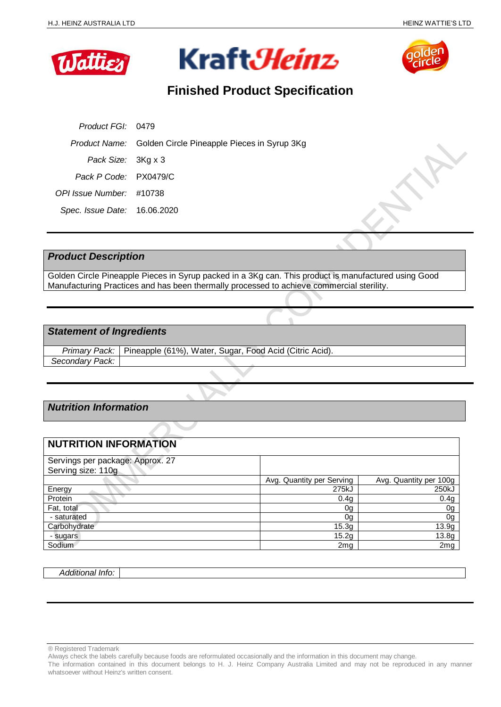





# **Finished Product Specification**

| Product FGI: 0479            |                                                           |
|------------------------------|-----------------------------------------------------------|
|                              | Product Name: Golden Circle Pineapple Pieces in Syrup 3Kg |
| Pack Size: 3Kg x 3           |                                                           |
| Pack P Code: PX0479/C        |                                                           |
| OPI Issue Number: #10738     |                                                           |
| Spec. Issue Date: 16.06.2020 |                                                           |

## *Product Description*

Golden Circle Pineapple Pieces in Syrup packed in a 3Kg can. This product is manufactured using Good Manufacturing Practices and has been thermally processed to achieve commercial sterility.

## *Statement of Ingredients*

|                 | Primary Pack:   Pineapple (61%), Water, Sugar, Food Acid (Citric Acid). |
|-----------------|-------------------------------------------------------------------------|
| Secondary Pack: |                                                                         |

# *Nutrition Information*

# **NUTRITION INFORMATION**

| Servings per package: Approx. 27 |                           |                        |
|----------------------------------|---------------------------|------------------------|
| Serving size: 110g               |                           |                        |
|                                  | Avg. Quantity per Serving | Avg. Quantity per 100g |
| Energy                           | 275kJ                     | 250kJ                  |
| Protein                          | 0.4g                      | 0.4g                   |
| Fat, total                       | 0g                        | 0g                     |
| - saturated                      | 0g                        | 0g                     |
| Carbohydrate                     | 15.3g                     | 13.9g                  |
| - sugars                         | 15.2g                     | 13.8g                  |
| Sodium                           | 2 <sub>mg</sub>           | 2 <sub>mg</sub>        |

*Additional Info:*

<sup>®</sup> Registered Trademark

Always check the labels carefully because foods are reformulated occasionally and the information in this document may change.

The information contained in this document belongs to H. J. Heinz Company Australia Limited and may not be reproduced in any manner whatsoever without Heinz's written consent.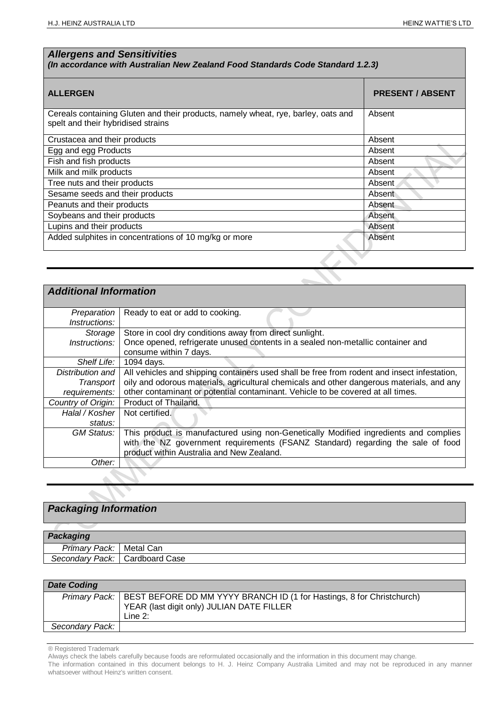## *Allergens and Sensitivities*

## *(In accordance with Australian New Zealand Food Standards Code Standard 1.2.3)*

| <b>ALLERGEN</b>                                                                                                         | <b>PRESENT / ABSENT</b> |
|-------------------------------------------------------------------------------------------------------------------------|-------------------------|
| Cereals containing Gluten and their products, namely wheat, rye, barley, oats and<br>spelt and their hybridised strains | Absent                  |
| Crustacea and their products                                                                                            | Absent                  |
| Egg and egg Products                                                                                                    | Absent                  |
| Fish and fish products                                                                                                  | Absent                  |
| Milk and milk products                                                                                                  | Absent                  |
| Tree nuts and their products                                                                                            | Absent                  |
| Sesame seeds and their products                                                                                         | Absent                  |
| Peanuts and their products                                                                                              | Absent                  |
| Soybeans and their products                                                                                             | Absent                  |
| Lupins and their products                                                                                               | Absent                  |
| Added sulphites in concentrations of 10 mg/kg or more                                                                   | Absent                  |

| <b>Additional Information</b>       |                                                                                                                                                                                                                      |
|-------------------------------------|----------------------------------------------------------------------------------------------------------------------------------------------------------------------------------------------------------------------|
| Preparation<br><i>Instructions:</i> | Ready to eat or add to cooking.                                                                                                                                                                                      |
| Storage                             | Store in cool dry conditions away from direct sunlight.                                                                                                                                                              |
| <i>Instructions:</i>                | Once opened, refrigerate unused contents in a sealed non-metallic container and<br>consume within 7 days.                                                                                                            |
| Shelf Life:                         | 1094 days.                                                                                                                                                                                                           |
| Distribution and                    | All vehicles and shipping containers used shall be free from rodent and insect infestation,                                                                                                                          |
| Transport                           | oily and odorous materials, agricultural chemicals and other dangerous materials, and any                                                                                                                            |
| requirements:                       | other contaminant or potential contaminant. Vehicle to be covered at all times.                                                                                                                                      |
| Country of Origin:                  | Product of Thailand.                                                                                                                                                                                                 |
| Halal / Kosher                      | Not certified.                                                                                                                                                                                                       |
| status:                             |                                                                                                                                                                                                                      |
| GM Status:                          | This product is manufactured using non-Genetically Modified ingredients and complies<br>with the NZ government requirements (FSANZ Standard) regarding the sale of food<br>product within Australia and New Zealand. |
| Other:                              |                                                                                                                                                                                                                      |

# *Packaging Information*

| Packaging                        |  |
|----------------------------------|--|
| Primary Pack:   Metal Can        |  |
| Secondary Pack:   Cardboard Case |  |

| <b>Date Coding</b> |                                                                                                                                                  |
|--------------------|--------------------------------------------------------------------------------------------------------------------------------------------------|
|                    | Primary Pack:   BEST BEFORE DD MM YYYY BRANCH ID (1 for Hastings, 8 for Christchurch)<br>YEAR (last digit only) JULIAN DATE FILLER<br>Line $2$ : |
| Secondary Pack:    |                                                                                                                                                  |

® Registered Trademark

Always check the labels carefully because foods are reformulated occasionally and the information in this document may change.

The information contained in this document belongs to H. J. Heinz Company Australia Limited and may not be reproduced in any manner whatsoever without Heinz's written consent.